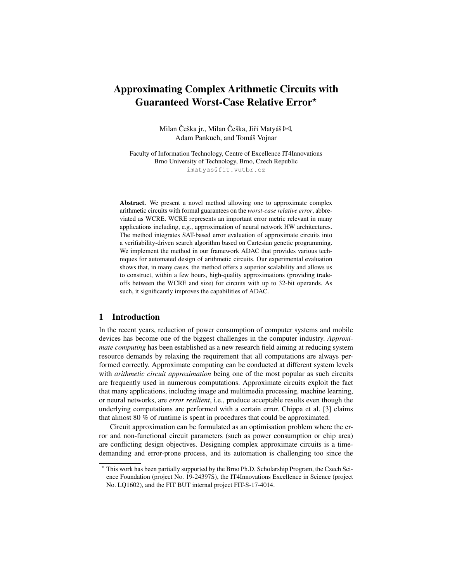# Approximating Complex Arithmetic Circuits with Guaranteed Worst-Case Relative Error?

Milan Češka jr., Milan Češka, Jiří Matyáš⊠, Adam Pankuch, and Tomáš Vojnar

Faculty of Information Technology, Centre of Excellence IT4Innovations Brno University of Technology, Brno, Czech Republic imatyas@fit.vutbr.cz

Abstract. We present a novel method allowing one to approximate complex arithmetic circuits with formal guarantees on the *worst-case relative error*, abbreviated as WCRE. WCRE represents an important error metric relevant in many applications including, e.g., approximation of neural network HW architectures. The method integrates SAT-based error evaluation of approximate circuits into a verifiability-driven search algorithm based on Cartesian genetic programming. We implement the method in our framework ADAC that provides various techniques for automated design of arithmetic circuits. Our experimental evaluation shows that, in many cases, the method offers a superior scalability and allows us to construct, within a few hours, high-quality approximations (providing tradeoffs between the WCRE and size) for circuits with up to 32-bit operands. As such, it significantly improves the capabilities of ADAC.

## 1 Introduction

In the recent years, reduction of power consumption of computer systems and mobile devices has become one of the biggest challenges in the computer industry. *Approximate computing* has been established as a new research field aiming at reducing system resource demands by relaxing the requirement that all computations are always performed correctly. Approximate computing can be conducted at different system levels with *arithmetic circuit approximation* being one of the most popular as such circuits are frequently used in numerous computations. Approximate circuits exploit the fact that many applications, including image and multimedia processing, machine learning, or neural networks, are *error resilient*, i.e., produce acceptable results even though the underlying computations are performed with a certain error. Chippa et al. [3] claims that almost 80 % of runtime is spent in procedures that could be approximated.

Circuit approximation can be formulated as an optimisation problem where the error and non-functional circuit parameters (such as power consumption or chip area) are conflicting design objectives. Designing complex approximate circuits is a timedemanding and error-prone process, and its automation is challenging too since the

<sup>?</sup> This work has been partially supported by the Brno Ph.D. Scholarship Program, the Czech Science Foundation (project No. 19-24397S), the IT4Innovations Excellence in Science (project No. LQ1602), and the FIT BUT internal project FIT-S-17-4014.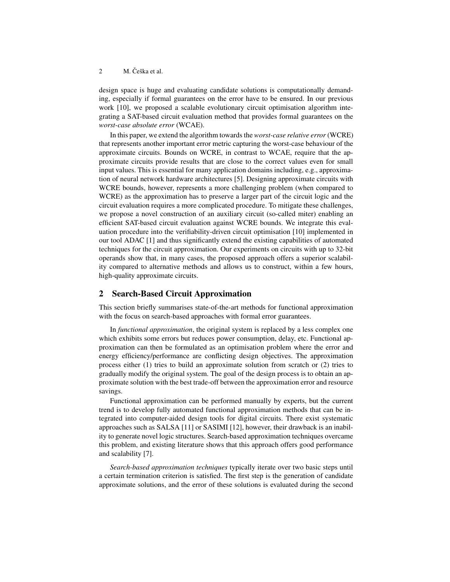2 M. Češka et al.

design space is huge and evaluating candidate solutions is computationally demanding, especially if formal guarantees on the error have to be ensured. In our previous work [10], we proposed a scalable evolutionary circuit optimisation algorithm integrating a SAT-based circuit evaluation method that provides formal guarantees on the *worst-case absolute error* (WCAE).

In this paper, we extend the algorithm towards the *worst-case relative error* (WCRE) that represents another important error metric capturing the worst-case behaviour of the approximate circuits. Bounds on WCRE, in contrast to WCAE, require that the approximate circuits provide results that are close to the correct values even for small input values. This is essential for many application domains including, e.g., approximation of neural network hardware architectures [5]. Designing approximate circuits with WCRE bounds, however, represents a more challenging problem (when compared to WCRE) as the approximation has to preserve a larger part of the circuit logic and the circuit evaluation requires a more complicated procedure. To mitigate these challenges, we propose a novel construction of an auxiliary circuit (so-called miter) enabling an efficient SAT-based circuit evaluation against WCRE bounds. We integrate this evaluation procedure into the verifiability-driven circuit optimisation [10] implemented in our tool ADAC [1] and thus significantly extend the existing capabilities of automated techniques for the circuit approximation. Our experiments on circuits with up to 32-bit operands show that, in many cases, the proposed approach offers a superior scalability compared to alternative methods and allows us to construct, within a few hours, high-quality approximate circuits.

## 2 Search-Based Circuit Approximation

This section briefly summarises state-of-the-art methods for functional approximation with the focus on search-based approaches with formal error guarantees.

In *functional approximation*, the original system is replaced by a less complex one which exhibits some errors but reduces power consumption, delay, etc. Functional approximation can then be formulated as an optimisation problem where the error and energy efficiency/performance are conflicting design objectives. The approximation process either (1) tries to build an approximate solution from scratch or (2) tries to gradually modify the original system. The goal of the design process is to obtain an approximate solution with the best trade-off between the approximation error and resource savings.

Functional approximation can be performed manually by experts, but the current trend is to develop fully automated functional approximation methods that can be integrated into computer-aided design tools for digital circuits. There exist systematic approaches such as SALSA [11] or SASIMI [12], however, their drawback is an inability to generate novel logic structures. Search-based approximation techniques overcame this problem, and existing literature shows that this approach offers good performance and scalability [7].

*Search-based approximation techniques* typically iterate over two basic steps until a certain termination criterion is satisfied. The first step is the generation of candidate approximate solutions, and the error of these solutions is evaluated during the second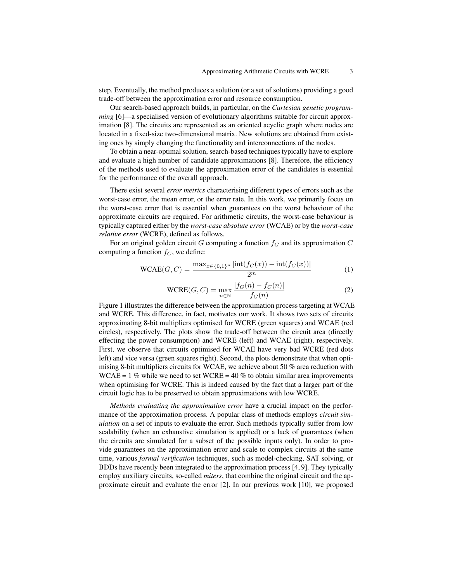step. Eventually, the method produces a solution (or a set of solutions) providing a good trade-off between the approximation error and resource consumption.

Our search-based approach builds, in particular, on the *Cartesian genetic programming* [6]—a specialised version of evolutionary algorithms suitable for circuit approximation [8]. The circuits are represented as an oriented acyclic graph where nodes are located in a fixed-size two-dimensional matrix. New solutions are obtained from existing ones by simply changing the functionality and interconnections of the nodes.

To obtain a near-optimal solution, search-based techniques typically have to explore and evaluate a high number of candidate approximations [8]. Therefore, the efficiency of the methods used to evaluate the approximation error of the candidates is essential for the performance of the overall approach.

There exist several *error metrics* characterising different types of errors such as the worst-case error, the mean error, or the error rate. In this work, we primarily focus on the worst-case error that is essential when guarantees on the worst behaviour of the approximate circuits are required. For arithmetic circuits, the worst-case behaviour is typically captured either by the *worst-case absolute error* (WCAE) or by the *worst-case relative error* (WCRE), defined as follows.

For an original golden circuit G computing a function  $f<sub>G</sub>$  and its approximation C computing a function  $f_C$ , we define:

$$
\text{WCAE}(G, C) = \frac{\max_{x \in \{0, 1\}^n} |\text{int}(f_G(x)) - \text{int}(f_C(x))|}{2^m} \tag{1}
$$

$$
\text{WCRE}(G, C) = \max_{n \in \mathbb{N}} \frac{|f_G(n) - f_C(n)|}{f_G(n)}\tag{2}
$$

Figure 1 illustrates the difference between the approximation process targeting at WCAE and WCRE. This difference, in fact, motivates our work. It shows two sets of circuits approximating 8-bit multipliers optimised for WCRE (green squares) and WCAE (red circles), respectively. The plots show the trade-off between the circuit area (directly effecting the power consumption) and WCRE (left) and WCAE (right), respectively. First, we observe that circuits optimised for WCAE have very bad WCRE (red dots left) and vice versa (green squares right). Second, the plots demonstrate that when optimising 8-bit multipliers circuits for WCAE, we achieve about 50 % area reduction with WCAE = 1 % while we need to set WCRE = 40 % to obtain similar area improvements when optimising for WCRE. This is indeed caused by the fact that a larger part of the circuit logic has to be preserved to obtain approximations with low WCRE.

*Methods evaluating the approximation error* have a crucial impact on the performance of the approximation process. A popular class of methods employs *circuit simulation* on a set of inputs to evaluate the error. Such methods typically suffer from low scalability (when an exhaustive simulation is applied) or a lack of guarantees (when the circuits are simulated for a subset of the possible inputs only). In order to provide guarantees on the approximation error and scale to complex circuits at the same time, various *formal verification* techniques, such as model-checking, SAT solving, or BDDs have recently been integrated to the approximation process [4, 9]. They typically employ auxiliary circuits, so-called *miters*, that combine the original circuit and the approximate circuit and evaluate the error [2]. In our previous work [10], we proposed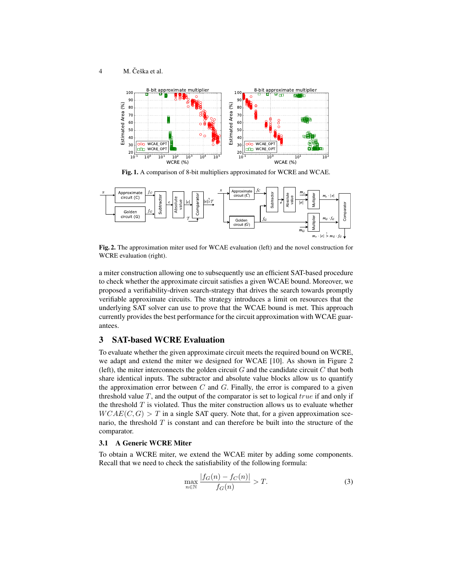4 M. Češka et al.



Fig. 1. A comparison of 8-bit multipliers approximated for WCRE and WCAE.



Fig. 2. The approximation miter used for WCAE evaluation (left) and the novel construction for WCRE evaluation (right).

a miter construction allowing one to subsequently use an efficient SAT-based procedure to check whether the approximate circuit satisfies a given WCAE bound. Moreover, we proposed a verifiability-driven search-strategy that drives the search towards promptly verifiable approximate circuits. The strategy introduces a limit on resources that the underlying SAT solver can use to prove that the WCAE bound is met. This approach currently provides the best performance for the circuit approximation with WCAE guarantees.

# 3 SAT-based WCRE Evaluation

To evaluate whether the given approximate circuit meets the required bound on WCRE, we adapt and extend the miter we designed for WCAE [10]. As shown in Figure 2 (left), the miter interconnects the golden circuit  $G$  and the candidate circuit  $C$  that both share identical inputs. The subtractor and absolute value blocks allow us to quantify the approximation error between  $C$  and  $G$ . Finally, the error is compared to a given threshold value  $T$ , and the output of the comparator is set to logical  $true$  if and only if the threshold  $T$  is violated. Thus the miter construction allows us to evaluate whether  $WCAE(C, G) > T$  in a single SAT query. Note that, for a given approximation scenario, the threshold  $T$  is constant and can therefore be built into the structure of the comparator.

#### 3.1 A Generic WCRE Miter

To obtain a WCRE miter, we extend the WCAE miter by adding some components. Recall that we need to check the satisfiability of the following formula:

$$
\max_{n \in \mathbb{N}} \frac{|f_G(n) - f_C(n)|}{f_G(n)} > T.
$$
\n(3)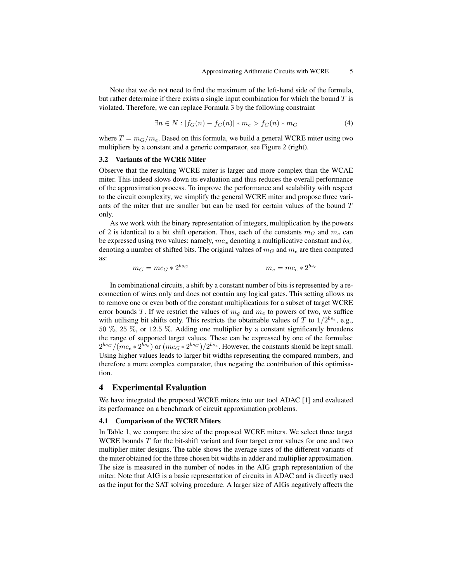Note that we do not need to find the maximum of the left-hand side of the formula, but rather determine if there exists a single input combination for which the bound  $T$  is violated. Therefore, we can replace Formula 3 by the following constraint

$$
\exists n \in N : |f_G(n) - f_C(n)| * m_e > f_G(n) * m_G \tag{4}
$$

where  $T = m_G/m_e$ . Based on this formula, we build a general WCRE miter using two multipliers by a constant and a generic comparator, see Figure 2 (right).

#### 3.2 Variants of the WCRE Miter

Observe that the resulting WCRE miter is larger and more complex than the WCAE miter. This indeed slows down its evaluation and thus reduces the overall performance of the approximation process. To improve the performance and scalability with respect to the circuit complexity, we simplify the general WCRE miter and propose three variants of the miter that are smaller but can be used for certain values of the bound  $T$ only.

As we work with the binary representation of integers, multiplication by the powers of 2 is identical to a bit shift operation. Thus, each of the constants  $m<sub>G</sub>$  and  $m<sub>e</sub>$  can be expressed using two values: namely,  $mc_x$  denoting a multiplicative constant and  $bs_x$ denoting a number of shifted bits. The original values of  $m<sub>G</sub>$  and  $m<sub>e</sub>$  are then computed as:

$$
m_G = mc_G * 2^{bs_G} \qquad \qquad m_e = mc_e * 2^{bs_e}
$$

In combinational circuits, a shift by a constant number of bits is represented by a reconnection of wires only and does not contain any logical gates. This setting allows us to remove one or even both of the constant multiplications for a subset of target WCRE error bounds T. If we restrict the values of  $m_q$  and  $m_e$  to powers of two, we suffice with utilising bit shifts only. This restricts the obtainable values of T to  $1/2^{bs_e}$ , e.g., 50 %, 25 %, or 12.5 %. Adding one multiplier by a constant significantly broadens the range of supported target values. These can be expressed by one of the formulas:  $2^{bs_G}/(mc_e * 2^{bs_e})$  or  $(mc_G * 2^{bs_G})/2^{bs_e}$ . However, the constants should be kept small. Using higher values leads to larger bit widths representing the compared numbers, and therefore a more complex comparator, thus negating the contribution of this optimisation.

#### 4 Experimental Evaluation

We have integrated the proposed WCRE miters into our tool ADAC [1] and evaluated its performance on a benchmark of circuit approximation problems.

#### 4.1 Comparison of the WCRE Miters

In Table 1, we compare the size of the proposed WCRE miters. We select three target WCRE bounds  $T$  for the bit-shift variant and four target error values for one and two multiplier miter designs. The table shows the average sizes of the different variants of the miter obtained for the three chosen bit widths in adder and multiplier approximation. The size is measured in the number of nodes in the AIG graph representation of the miter. Note that AIG is a basic representation of circuits in ADAC and is directly used as the input for the SAT solving procedure. A larger size of AIGs negatively affects the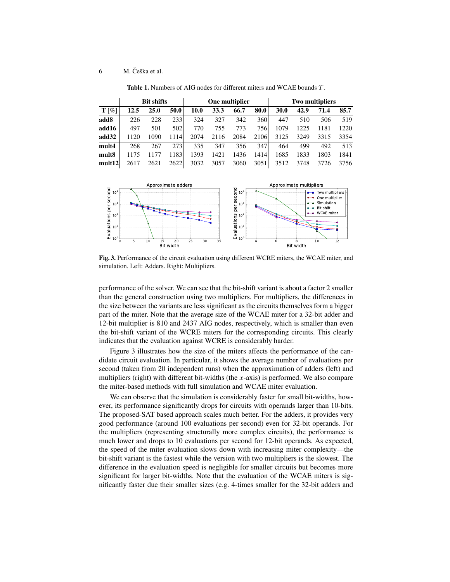#### $6$  M. Češka et al.

|                   | <b>Bit shifts</b> |      |      | One multiplier |      |      |      | <b>Two multipliers</b> |      |      |      |
|-------------------|-------------------|------|------|----------------|------|------|------|------------------------|------|------|------|
| $T[\%]$           | 12.5              | 25.0 | 50.0 | 10.0           | 33.3 | 66.7 | 80.0 | 30.0                   | 42.9 | 71.4 | 85.7 |
| add <sub>8</sub>  | 226               | 228  | 233  | 324            | 327  | 342  | 360  | 447                    | 510  | 506  | 519  |
| add16             | 497               | 501  | 502  | 770            | 755  | 773  | 756  | 1079                   | 1225 | 1181 | 1220 |
| add32             | 1120              | 1090 | 1114 | 2074           | 2116 | 2084 | 2106 | 3125                   | 3249 | 3315 | 3354 |
| mult4             | 268               | 267  | 2.73 | 335            | 347  | 356  | 347  | 464                    | 499  | 492  | 513  |
| mult <sub>8</sub> | 1175              |      | 1183 | 1393           | 1421 | 1436 | 1414 | 1685                   | 1833 | 1803 | 1841 |
| mult12            | 2617              | 2621 | 2622 | 3032           | 3057 | 3060 | 3051 | 3512                   | 3748 | 3726 | 3756 |

Table 1. Numbers of AIG nodes for different miters and WCAE bounds T.



Fig. 3. Performance of the circuit evaluation using different WCRE miters, the WCAE miter, and simulation. Left: Adders. Right: Multipliers.

performance of the solver. We can see that the bit-shift variant is about a factor 2 smaller than the general construction using two multipliers. For multipliers, the differences in the size between the variants are less significant as the circuits themselves form a bigger part of the miter. Note that the average size of the WCAE miter for a 32-bit adder and 12-bit multiplier is 810 and 2437 AIG nodes, respectively, which is smaller than even the bit-shift variant of the WCRE miters for the corresponding circuits. This clearly indicates that the evaluation against WCRE is considerably harder.

Figure 3 illustrates how the size of the miters affects the performance of the candidate circuit evaluation. In particular, it shows the average number of evaluations per second (taken from 20 independent runs) when the approximation of adders (left) and multipliers (right) with different bit-widths (the  $x$ -axis) is performed. We also compare the miter-based methods with full simulation and WCAE miter evaluation.

We can observe that the simulation is considerably faster for small bit-widths, however, its performance significantly drops for circuits with operands larger than 10-bits. The proposed-SAT based approach scales much better. For the adders, it provides very good performance (around 100 evaluations per second) even for 32-bit operands. For the multipliers (representing structurally more complex circuits), the performance is much lower and drops to 10 evaluations per second for 12-bit operands. As expected, the speed of the miter evaluation slows down with increasing miter complexity—the bit-shift variant is the fastest while the version with two multipliers is the slowest. The difference in the evaluation speed is negligible for smaller circuits but becomes more significant for larger bit-widths. Note that the evaluation of the WCAE miters is significantly faster due their smaller sizes (e.g. 4-times smaller for the 32-bit adders and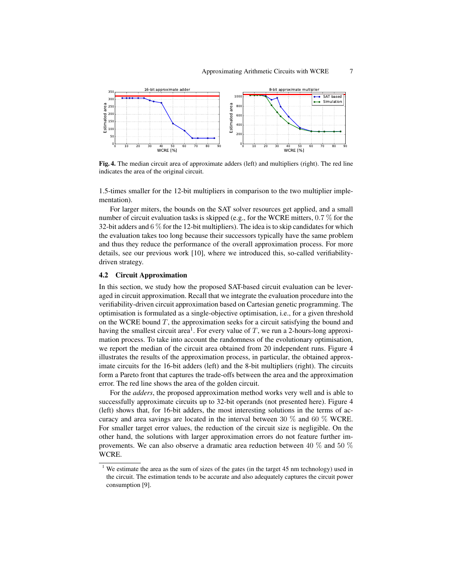

Fig. 4. The median circuit area of approximate adders (left) and multipliers (right). The red line indicates the area of the original circuit.

1.5-times smaller for the 12-bit multipliers in comparison to the two multiplier implementation).

For larger miters, the bounds on the SAT solver resources get applied, and a small number of circuit evaluation tasks is skipped (e.g., for the WCRE mitters, 0.7 % for the 32-bit adders and  $6\%$  for the 12-bit multipliers). The idea is to skip candidates for which the evaluation takes too long because their successors typically have the same problem and thus they reduce the performance of the overall approximation process. For more details, see our previous work [10], where we introduced this, so-called verifiabilitydriven strategy.

#### 4.2 Circuit Approximation

In this section, we study how the proposed SAT-based circuit evaluation can be leveraged in circuit approximation. Recall that we integrate the evaluation procedure into the verifiability-driven circuit approximation based on Cartesian genetic programming. The optimisation is formulated as a single-objective optimisation, i.e., for a given threshold on the WCRE bound T, the approximation seeks for a circuit satisfying the bound and having the smallest circuit area<sup>1</sup>. For every value of  $T$ , we run a 2-hours-long approximation process. To take into account the randomness of the evolutionary optimisation, we report the median of the circuit area obtained from 20 independent runs. Figure 4 illustrates the results of the approximation process, in particular, the obtained approximate circuits for the 16-bit adders (left) and the 8-bit multipliers (right). The circuits form a Pareto front that captures the trade-offs between the area and the approximation error. The red line shows the area of the golden circuit.

For the *adders*, the proposed approximation method works very well and is able to successfully approximate circuits up to 32-bit operands (not presented here). Figure 4 (left) shows that, for 16-bit adders, the most interesting solutions in the terms of accuracy and area savings are located in the interval between 30 % and 60 % WCRE. For smaller target error values, the reduction of the circuit size is negligible. On the other hand, the solutions with larger approximation errors do not feature further improvements. We can also observe a dramatic area reduction between 40 % and 50 % WCRE.

<sup>&</sup>lt;sup>1</sup> We estimate the area as the sum of sizes of the gates (in the target 45 nm technology) used in the circuit. The estimation tends to be accurate and also adequately captures the circuit power consumption [9].